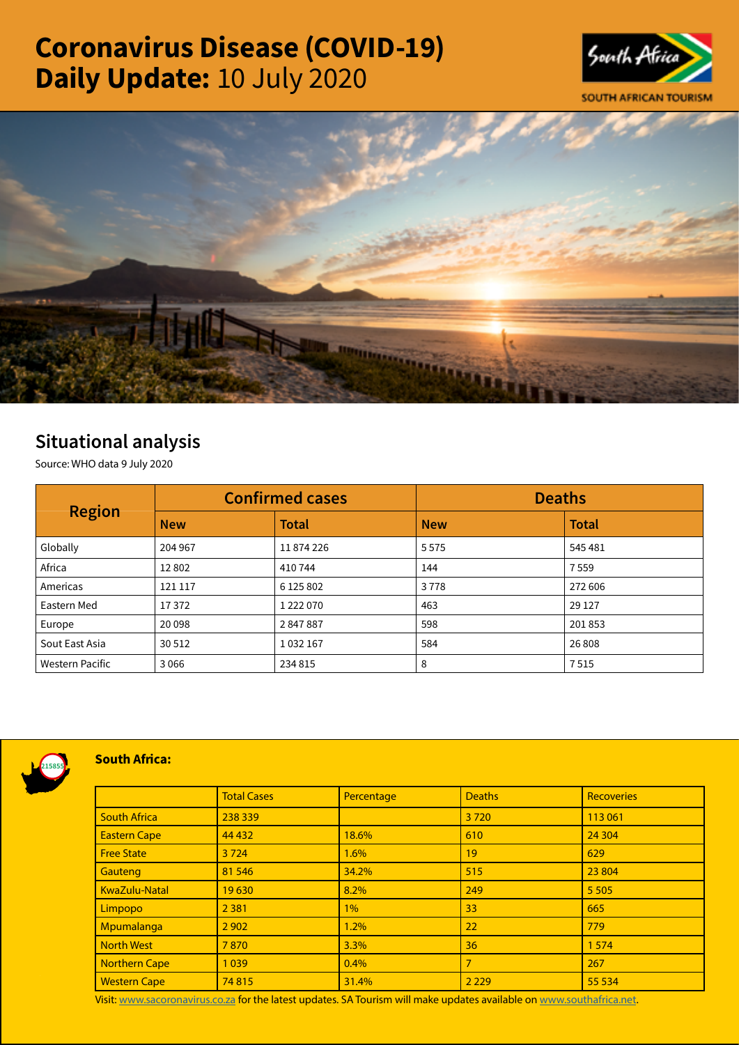# Coronavirus Disease (COVID-19) Daily Update: 10 July 2020





# Situational analysis

Source: WHO data 9 July 2020

| <b>Region</b>          | <b>Confirmed cases</b> |              | <b>Deaths</b> |              |
|------------------------|------------------------|--------------|---------------|--------------|
|                        | <b>New</b>             | <b>Total</b> | <b>New</b>    | <b>Total</b> |
| Globally               | 204 967                | 11874226     | 5575          | 545 481      |
| Africa                 | 12802                  | 410744       | 144           | 7559         |
| Americas               | 121 117                | 6 125 802    | 3778          | 272 606      |
| Eastern Med            | 17372                  | 1 222 070    | 463           | 29 1 27      |
| Europe                 | 20 098                 | 2847887      | 598           | 201853       |
| Sout East Asia         | 30 512                 | 1032167      | 584           | 26 808       |
| <b>Western Pacific</b> | 3 0 6 6                | 234 815      | 8             | 7515         |



## South Africa:

|                      | <b>Total Cases</b> | Percentage | <b>Deaths</b>  | <b>Recoveries</b> |  |
|----------------------|--------------------|------------|----------------|-------------------|--|
| <b>South Africa</b>  | 238 339            |            | 3720           | 113 061           |  |
| <b>Eastern Cape</b>  | 44 4 32            | 18.6%      | 610            | 24 304            |  |
| <b>Free State</b>    | 3724               | 1.6%       | 19             | 629               |  |
| Gauteng              | 81 546             | 34.2%      | 515            | 23 804            |  |
| KwaZulu-Natal        | 19630              | 8.2%       | 249            | 5 5 0 5           |  |
| Limpopo              | 2 3 8 1            | 1%         | 33             | 665               |  |
| Mpumalanga           | 2 9 0 2            | 1.2%       | 22             | 779               |  |
| <b>North West</b>    | 7870               | 3.3%       | 36             | 1574              |  |
| <b>Northern Cape</b> | 1039               | 0.4%       | $\overline{7}$ | 267               |  |
| <b>Western Cape</b>  | 74815              | 31.4%      | 2 2 2 9        | 55 5 34           |  |

Visit: [www.sacoronavirus.co.za](http://www.sacoronavirus.co.za) for the latest updates. SA Tourism will make updates available on [www.southafrica.net.](http://www.southafrica.net)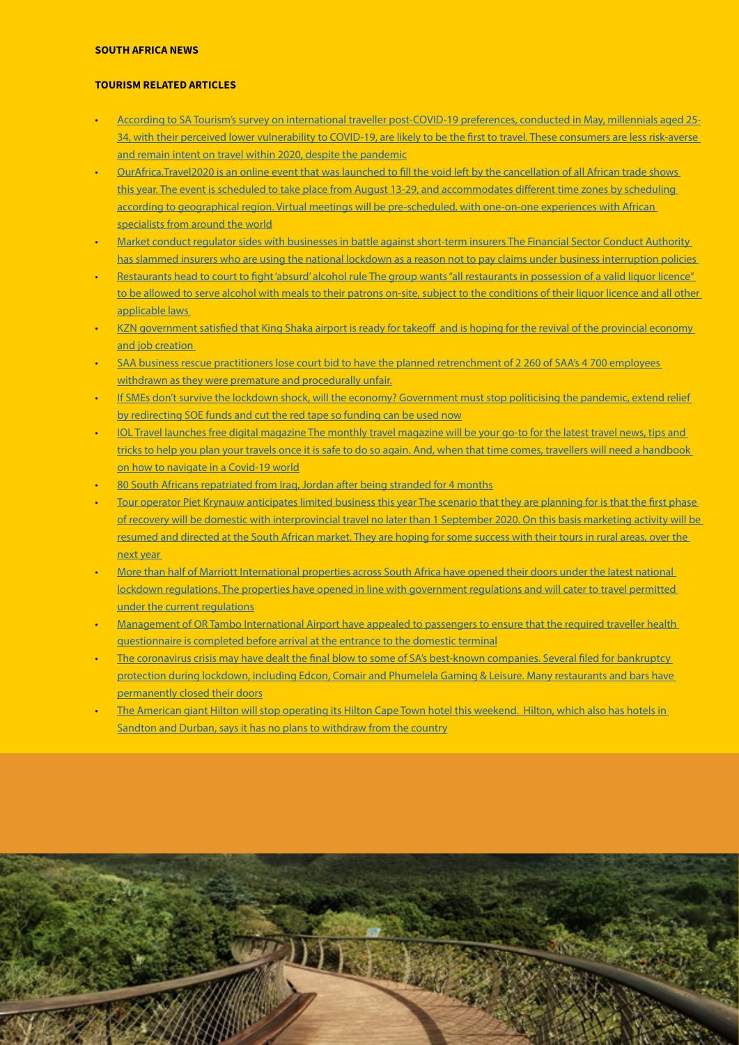### SOUTH AFRICA NEWS

#### TOURISM RELATED ARTICLES

- [According to SA Tourism's survey on international traveller post-COVID-19 preferences, conducted in May, millennials aged 25-](http://www.tourismupdate.co.za/article/199775/Millennials-put-on-their-travel-shoes) 34, with their perceived lower vulnerability to COVID-19, are likely to be the first to travel. These consumers are less risk-averse [and remain intent on travel within 2020, despite the pandemic](http://www.tourismupdate.co.za/article/199775/Millennials-put-on-their-travel-shoes)
- [OurAfrica.Travel2020 is an online event that was launched to fill the void left by the cancellation of all African trade shows](http://www.tourismupdate.co.za/article/199779/New-virtual-meeting-platform-to-replace-trade-shows)  this year. The event is scheduled to take place from August 13-29, and accommodates different time zones by scheduling [according to geographical region. Virtual meetings will be pre-scheduled, with one-on-one experiences with African](http://www.tourismupdate.co.za/article/199779/New-virtual-meeting-platform-to-replace-trade-shows)  [specialists from around the world](http://www.tourismupdate.co.za/article/199779/New-virtual-meeting-platform-to-replace-trade-shows)
- [Market conduct regulator sides with businesses in battle against short-term insurers The Financial Sector Conduct Authority](https://www.businesslive.co.za/bd/national/2020-07-09-market-conduct-regulator-sides-with-businesses-in-battle-against-short-term-insurers/)  [has slammed insurers who are using the national lockdown as a reason not to pay claims under business interruption policies](https://www.businesslive.co.za/bd/national/2020-07-09-market-conduct-regulator-sides-with-businesses-in-battle-against-short-term-insurers/)
- [Restaurants head to court to fight 'absurd' alcohol rule The group wants "all restaurants in possession of a valid liquor licence"](https://www.businesslive.co.za/bd/national/2020-07-09-restaurants-head-to-court-to-fight-absurd-alcohol-rule/)  to be allowed to serve alcohol with meals to their patrons on-site, subject to the conditions of their liquor licence and all other [applicable laws](https://www.businesslive.co.za/bd/national/2020-07-09-restaurants-head-to-court-to-fight-absurd-alcohol-rule/)
- [KZN government satisfied that King Shaka airport is ready for takeoff and is hoping for the revival of the provincial economy](https://www.timeslive.co.za/politics/2020-07-08-kzn-government-satisfied-that-king-shaka-airport-is-ready-for-takeoff/)  [and job creation](https://www.timeslive.co.za/politics/2020-07-08-kzn-government-satisfied-that-king-shaka-airport-is-ready-for-takeoff/)
- [SAA business rescue practitioners lose court bid to have the planned retrenchment of 2 260 of SAA's 4 700 employees](https://www.iol.co.za/news/politics/saa-business-rescue-practitioners-lose-court-bid-over-retrenchments-50703245)  [withdrawn as they were premature and procedurally unfair.](https://www.iol.co.za/news/politics/saa-business-rescue-practitioners-lose-court-bid-over-retrenchments-50703245)
- If SMEs don't survive the lockdown shock, will the economy? Government must stop politicising the pandemic, extend relief [by redirecting SOE funds and cut the red tape so funding can be used now](https://www.moneyweb.co.za/moneyweb-opinion/columnists/if-smes-dont-survive-the-lockdown-shock-will-the-economy/)
- [IOL Travel launches free digital magazine The monthly travel magazine will be your go-to for the latest travel news, tips and](https://www.iol.co.za/travel/south-africa/iol-travel-launches-free-digital-magazine-50537502)  tricks to help you plan your travels once it is safe to do so again. And, when that time comes, travellers will need a handbook [on how to navigate in a Covid-19 world](https://www.iol.co.za/travel/south-africa/iol-travel-launches-free-digital-magazine-50537502)
- [80 South Africans repatriated from Iraq, Jordan after being stranded for 4 months](https://www.iol.co.za/travel/travel-news/80-south-africans-repatriated-from-iraq-jordan-after-being-stranded-for-4-months-50684360)
- Tour operator Piet Krynauw anticipates limited business this year The scenario that they are planning for is that the first phase [of recovery will be domestic with interprovincial travel no later than 1 September 2020. On this basis marketing activity will be](https://www.iol.co.za/travel/travel-news/tour-operator-piet-krynauw-anticipates-limited-business-this-year-50618997)  [resumed and directed at the South African market. They are hoping for some success with their tours in rural areas, over the](https://www.iol.co.za/travel/travel-news/tour-operator-piet-krynauw-anticipates-limited-business-this-year-50618997)  [next year](https://www.iol.co.za/travel/travel-news/tour-operator-piet-krynauw-anticipates-limited-business-this-year-50618997)
- [More than half of Marriott International properties across South Africa have opened their doors under the latest national](https://www.iol.co.za/travel/south-africa/marriott-international-opens-its-doors-to-business-travellers-under-level-3-50677907)  lockdown regulations. The properties have opened in line with government regulations and will cater to travel permitted [under the current regulations](https://www.iol.co.za/travel/south-africa/marriott-international-opens-its-doors-to-business-travellers-under-level-3-50677907)
- [Management of OR Tambo International Airport have appealed to passengers to ensure that the required traveller health](https://www.iol.co.za/travel/south-africa/gauteng/listen-or-tambo-urges-travellers-to-complete-health-questionnaires-before-arriving-at-airport-50676086)  [questionnaire is completed before arrival at the entrance to the domestic terminal](https://www.iol.co.za/travel/south-africa/gauteng/listen-or-tambo-urges-travellers-to-complete-health-questionnaires-before-arriving-at-airport-50676086)
- The coronavirus crisis may have dealt the final blow to some of SA's best-known companies. Several filed for bankruptcy [protection during lockdown, including Edcon, Comair and Phumelela Gaming & Leisure. Many restaurants and bars have](https://www.businessinsider.co.za/business/sa-business-that-may-not-have-survived-lockdown-2020-6)  [permanently closed their doors](https://www.businessinsider.co.za/business/sa-business-that-may-not-have-survived-lockdown-2020-6)
- [The American giant Hilton will stop operating its Hilton Cape Town hotel this weekend. Hilton, which also has hotels in](https://www.businessinsider.co.za/hilton-gives-up-cape-town-hotel-2020-7)  [Sandton and Durban, says it has no plans to withdraw from the country](https://www.businessinsider.co.za/hilton-gives-up-cape-town-hotel-2020-7)